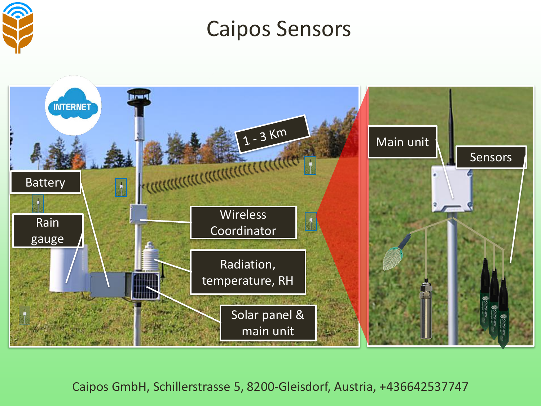

Caipos Sensors

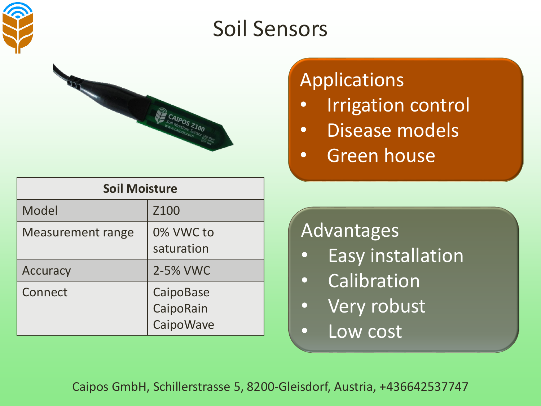



| <b>Soil Moisture</b>     |                                     |
|--------------------------|-------------------------------------|
| Model                    | Z <sub>100</sub>                    |
| <b>Measurement range</b> | 0% VWC to<br>saturation             |
| Accuracy                 | 2-5% VWC                            |
| Connect                  | CaipoBase<br>CaipoRain<br>CaipoWave |

### Applications

- **Irrigation control**
- Disease models
- Green house

#### Advantages

- Easy installation
- Calibration
- Very robust
- Low cost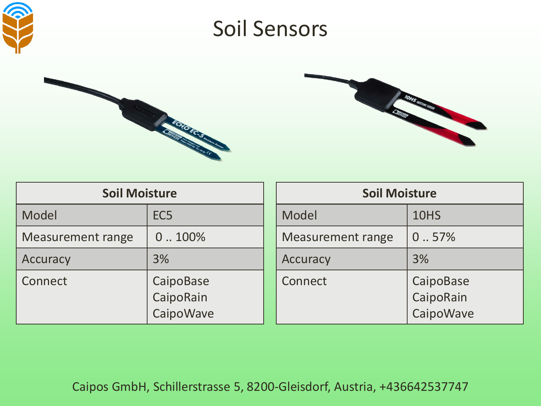





| <b>Soil Moisture</b>     |                                     |        |
|--------------------------|-------------------------------------|--------|
| Model                    | EC <sub>5</sub>                     | Model  |
| <b>Measurement range</b> | 0.100%                              | Measur |
| <b>Accuracy</b>          | 3%                                  | Accura |
| Connect                  | CaipoBase<br>CaipoRain<br>CaipoWave | Conned |

| <b>Soil Moisture</b> |                                     |  |
|----------------------|-------------------------------------|--|
| Model                | 10HS                                |  |
| Measurement range    | 0.57%                               |  |
| Accuracy             | 3%                                  |  |
| Connect              | CaipoBase<br>CaipoRain<br>CaipoWave |  |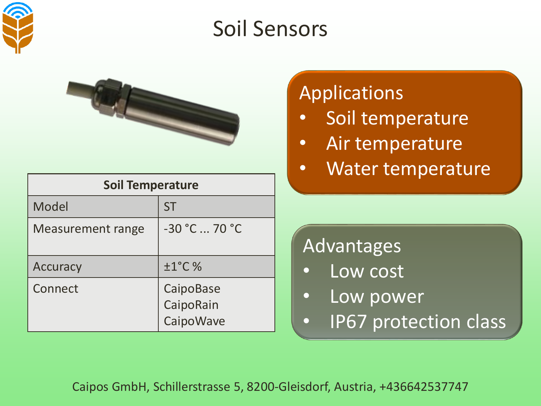



| <b>Soil Temperature</b>  |                                     |
|--------------------------|-------------------------------------|
| Model                    | <b>ST</b>                           |
| <b>Measurement range</b> | $-30 °C  70 °C$                     |
| Accuracy                 | $±1°C$ %                            |
| Connect                  | CaipoBase<br>CaipoRain<br>CaipoWave |

### Applications

- Soil temperature
- Air temperature
- Water temperature

#### Advantages

- Low cost
- Low power
- IP67 protection class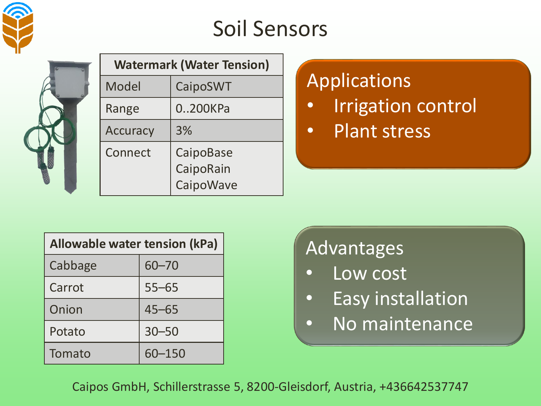



| <b>Watermark (Water Tension)</b> |                                     |  |
|----------------------------------|-------------------------------------|--|
| Model                            | CaipoSWT                            |  |
| Range                            | 0200KPa                             |  |
| Accuracy                         | 3%                                  |  |
| Connect                          | CaipoBase<br>CaipoRain<br>CaipoWave |  |

### Applications

- Irrigation control
- Plant stress

| Allowable water tension (kPa) |           |  |
|-------------------------------|-----------|--|
| Cabbage                       | $60 - 70$ |  |
| Carrot                        | $55 - 65$ |  |
| Onion                         | $45 - 65$ |  |
| Potato                        | $30 - 50$ |  |
| Tomato                        | 60-150    |  |

### Advantages

- Low cost
- Easy installation
- No maintenance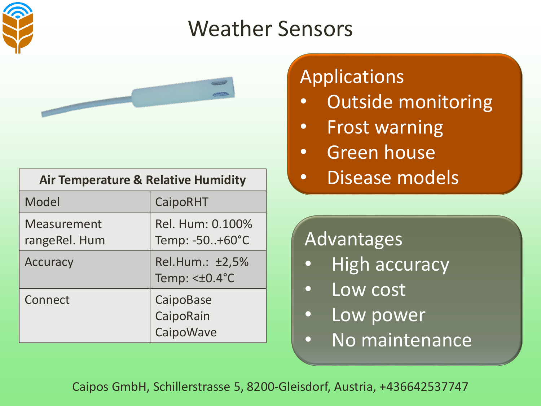



| <b>Air Temperature &amp; Relative Humidity</b> |                                     |  |
|------------------------------------------------|-------------------------------------|--|
| Model                                          | CaipoRHT                            |  |
| <b>Measurement</b><br>rangeRel. Hum            | Rel. Hum: 0.100%<br>Temp: -50+60°C  |  |
| <b>Accuracy</b>                                | Rel.Hum.: ±2,5%<br>Temp: $<±0.4$ °C |  |
| Connect                                        | CaipoBase<br>CaipoRain<br>CaipoWave |  |

## Applications

- Outside monitoring
- Frost warning
- Green house
- Disease models

### **Advantages**

- High accuracy
- Low cost
- Low power
- No maintenance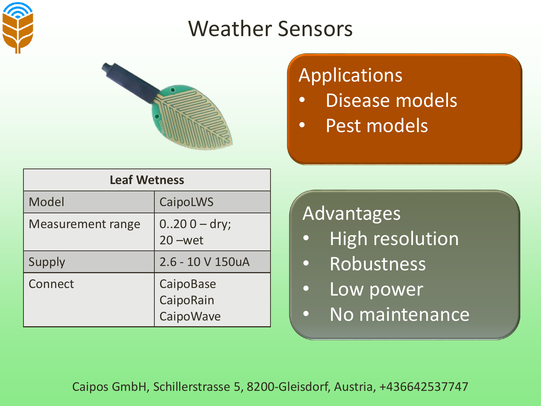



## Applications

- Disease models
- Pest models

| <b>Leaf Wetness</b>      |                                     |  |
|--------------------------|-------------------------------------|--|
| Model                    | <b>CaipoLWS</b>                     |  |
| <b>Measurement range</b> | $0.200 -$ dry;<br>$20$ –wet         |  |
| Supply                   | 2.6 - 10 V 150uA                    |  |
| Connect                  | CaipoBase<br>CaipoRain<br>CaipoWave |  |

#### Advantages

- High resolution
- Robustness
- Low power
- No maintenance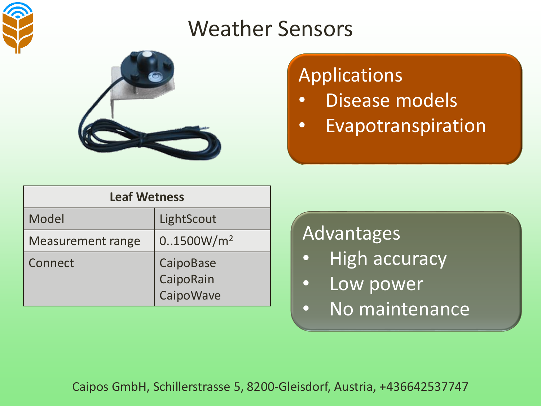



### Applications

- Disease models
- Evapotranspiration

| <b>Leaf Wetness</b>      |                                      |
|--------------------------|--------------------------------------|
| Model                    | LightScout                           |
| <b>Measurement range</b> | 0.1500W/m <sup>2</sup>               |
| <b>Connect</b>           | CaipoBase<br>CaipoRain<br>Caipo Wave |

#### Advantages

- **High accuracy**
- Low power
- No maintenance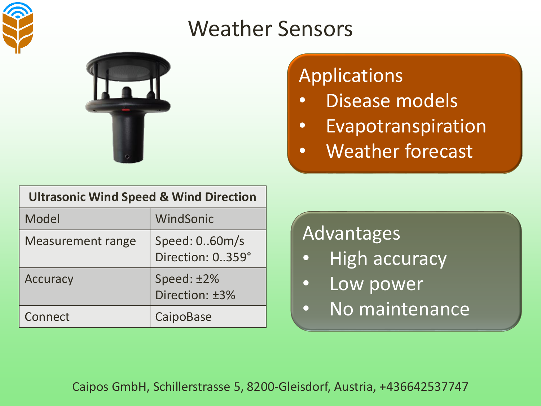



## Applications

- Disease models
- Evapotranspiration
- Weather forecast

| <b>Ultrasonic Wind Speed &amp; Wind Direction</b> |                                   |  |
|---------------------------------------------------|-----------------------------------|--|
| Model                                             | WindSonic                         |  |
| <b>Measurement range</b>                          | Speed: 060m/s<br>Direction: 0359° |  |
| <b>Accuracy</b>                                   | Speed: ±2%<br>Direction: ±3%      |  |
| Connect                                           | CaipoBase                         |  |

#### Advantages

- **High accuracy**
- Low power
- No maintenance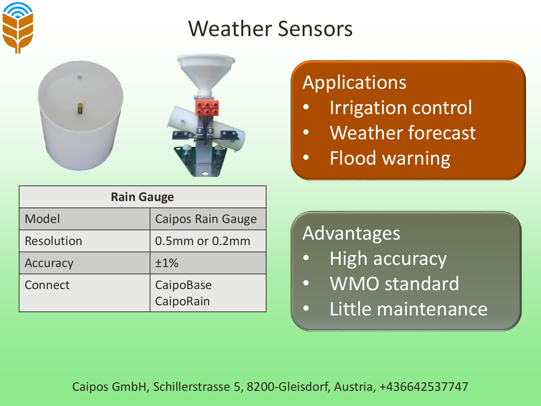



## Applications

- Irrigation control
- Weather forecast
- Flood warning

| <b>Rain Gauge</b> |                          |  |
|-------------------|--------------------------|--|
| Model             | <b>Caipos Rain Gauge</b> |  |
| <b>Resolution</b> | 0.5mm or 0.2mm           |  |
| Accuracy          | ±1%                      |  |
| Connect           | CaipoBase<br>CaipoRain   |  |

#### Advantages

- **High accuracy**
- WMO standard
- Little maintenance